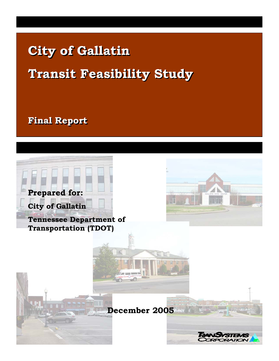# **City of Gallatin City of Gallatin Transit Feasibility Study Transit Feasibility Study**

**Final Report Final Report**

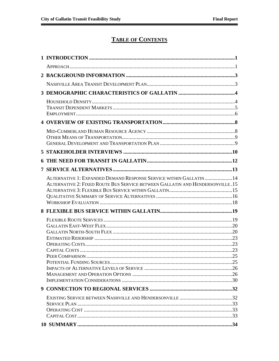## **TABLE OF CONTENTS**

| ALTERNATIVE 1: EXPANDED DEMAND RESPONSE SERVICE WITHIN GALLATIN14              |  |
|--------------------------------------------------------------------------------|--|
| ALTERNATIVE 2: FIXED ROUTE BUS SERVICE BETWEEN GALLATIN AND HENDERSONVILLE .15 |  |
|                                                                                |  |
|                                                                                |  |
|                                                                                |  |
|                                                                                |  |
|                                                                                |  |
|                                                                                |  |
|                                                                                |  |
|                                                                                |  |
|                                                                                |  |
|                                                                                |  |
|                                                                                |  |
|                                                                                |  |
|                                                                                |  |
|                                                                                |  |
|                                                                                |  |
|                                                                                |  |
|                                                                                |  |
|                                                                                |  |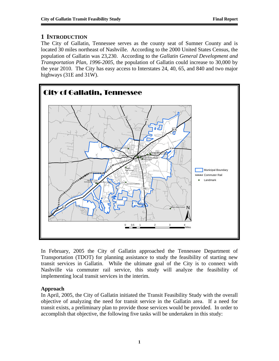## **1 INTRODUCTION**

The City of Gallatin, Tennessee serves as the county seat of Sumner County and is located 30 miles northeast of Nashville. According to the 2000 United States Census, the population of Gallatin was 23,230. According to the *Gallatin General Development and Transportation Plan, 1996-2005*, the population of Gallatin could increase to 30,000 by the year 2010. The City has easy access to Interstates 24, 40, 65, and 840 and two major highways (31E and 31W).



In February, 2005 the City of Gallatin approached the Tennessee Department of Transportation (TDOT) for planning assistance to study the feasibility of starting new transit services in Gallatin. While the ultimate goal of the City is to connect with Nashville via commuter rail service, this study will analyze the feasibility of implementing local transit services in the interim.

## **Approach**

In April, 2005, the City of Gallatin initiated the Transit Feasibility Study with the overall objective of analyzing the need for transit service in the Gallatin area. If a need for transit exists, a preliminary plan to provide those services would be provided. In order to accomplish that objective, the following five tasks will be undertaken in this study: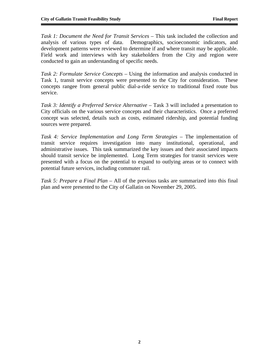*Task 1: Document the Need for Transit Services* – This task included the collection and analysis of various types of data. Demographics, socioeconomic indicators, and development patterns were reviewed to determine if and where transit may be applicable. Field work and interviews with key stakeholders from the City and region were conducted to gain an understanding of specific needs.

*Task 2: Formulate Service Concepts –* Using the information and analysis conducted in Task 1, transit service concepts were presented to the City for consideration. These concepts rangee from general public dial-a-ride service to traditional fixed route bus service.

*Task 3: Identify a Preferred Service Alternative – Task 3 will included a presentation to* City officials on the various service concepts and their characteristics. Once a preferred concept was selected, details such as costs, estimated ridership, and potential funding sources were prepared.

*Task 4: Service Implementation and Long Term Strategies –* The implementation of transit service requires investigation into many institutional, operational, and administrative issues. This task summarized the key issues and their associated impacts should transit service be implemented. Long Term strategies for transit services were presented with a focus on the potential to expand to outlying areas or to connect with potential future services, including commuter rail.

*Task 5: Prepare a Final Plan –* All of the previous tasks are summarized into this final plan and were presented to the City of Gallatin on November 29, 2005.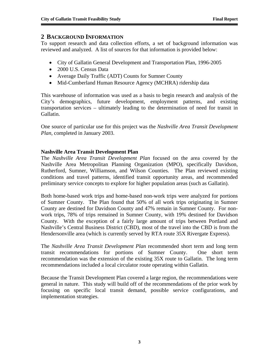## **2 BACKGROUND INFORMATION**

To support research and data collection efforts, a set of background information was reviewed and analyzed. A list of sources for that information is provided below:

- City of Gallatin General Development and Transportation Plan, 1996-2005
- 2000 U.S. Census Data
- Average Daily Traffic (ADT) Counts for Sumner County
- Mid-Cumberland Human Resource Agency (MCHRA) ridership data

This warehouse of information was used as a basis to begin research and analysis of the City's demographics, future development, employment patterns, and existing transportation services – ultimately leading to the determination of need for transit in Gallatin.

One source of particular use for this project was the *Nashville Area Transit Development Plan*, completed in January 2003.

## **Nashville Area Transit Development Plan**

The *Nashville Area Transit Development Plan* focused on the area covered by the Nashville Area Metropolitan Planning Organization (MPO), specifically Davidson, Rutherford, Sumner, Williamson, and Wilson Counties. The Plan reviewed existing conditions and travel patterns, identified transit opportunity areas, and recommended preliminary service concepts to explore for higher population areas (such as Gallatin).

Both home-based work trips and home-based non-work trips were analyzed for portions of Sumner County. The Plan found that 50% of all work trips originating in Sumner County are destined for Davidson County and 47% remain in Sumner County. For nonwork trips, 78% of trips remained in Sumner County, with 19% destined for Davidson County. With the exception of a fairly large amount of trips between Portland and Nashville's Central Business District (CBD), most of the travel into the CBD is from the Hendersonville area (which is currently served by RTA route 35X Rivergate Express).

The *Nashville Area Transit Development Plan* recommended short term and long term transit recommendations for portions of Sumner County. One short term recommendation was the extension of the existing 35X route to Gallatin. The long term recommendations included a local circulator route operating within Gallatin.

Because the Transit Development Plan covered a large region, the recommendations were general in nature. This study will build off of the recommendations of the prior work by focusing on specific local transit demand, possible service configurations, and implementation strategies.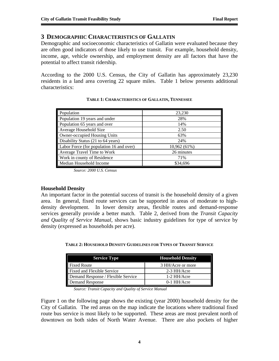╜

## **3 DEMOGRAPHIC CHARACTERISTICS OF GALLATIN**

Demographic and socioeconomic characteristics of Gallatin were evaluated because they are often good indicators of those likely to use transit. For example, household density, income, age, vehicle ownership, and employment density are all factors that have the potential to affect transit ridership.

According to the 2000 U.S. Census, the City of Gallatin has approximately 23,230 residents in a land area covering 22 square miles. Table 1 below presents additional characteristics:

| Population                               | 23,230       |
|------------------------------------------|--------------|
| Population 19 years and under            | 28%          |
| Population 65 years and over             | 14%          |
| Average Household Size                   | 2.50         |
| Owner-occupied Housing Units             | 63%          |
| Disability Status (21 to 64 years)       | 24%          |
| Labor Force (for population 16 and over) | 10,962 (61%) |
| Average Travel Time to Work              | 26 minutes   |
| Work in county of Residence              | 71%          |
| Median Household Income                  | \$34,696     |

#### **TABLE 1: CHARACTERISTICS OF GALLATIN, TENNESSEE**

*Source: 2000 U.S. Census* 

#### **Household Density**

An important factor in the potential success of transit is the household density of a given area. In general, fixed route services can be supported in areas of moderate to highdensity development. In lower density areas, flexible routes and demand-response services generally provide a better match. Table 2, derived from the *Transit Capacity and Quality of Service Manual*, shows basic industry guidelines for type of service by density (expressed as households per acre).

| <b>Service Type</b>                | <b>Household Density</b> |
|------------------------------------|--------------------------|
| Fixed Route                        | 3 HH/Acre or more        |
| Fixed and Flexible Service         | 2-3 HH/Acre              |
| Demand Response / Flexible Service | 1-2 HH/Acre              |
| Demand Response                    | $0-1$ HH/Acre            |

**TABLE 2: HOUSEHOLD DENSITY GUIDELINES FOR TYPES OF TRANSIT SERVICE**

*Source: Transit Capacity and Quality of Service Manual* 

Figure 1 on the following page shows the existing (year 2000) household density for the City of Gallatin. The red areas on the map indicate the locations where traditional fixed route bus service is most likely to be supported. These areas are most prevalent north of downtown on both sides of North Water Avenue. There are also pockets of higher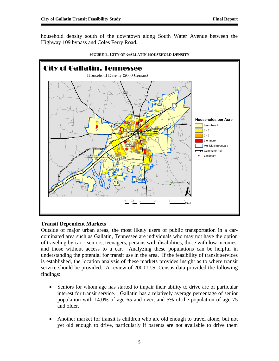household density south of the downtown along South Water Avenue between the Highway 109 bypass and Coles Ferry Road.



#### **FIGURE 1: CITY OF GALLATIN HOUSEHOLD DENSITY**

#### **Transit Dependent Markets**

Outside of major urban areas, the most likely users of public transportation in a cardominated area such as Gallatin, Tennessee are individuals who may not have the option of traveling by car – seniors, teenagers, persons with disabilities, those with low incomes, and those without access to a car. Analyzing these populations can be helpful in understanding the potential for transit use in the area. If the feasibility of transit services is established, the location analysis of these markets provides insight as to where transit service should be provided. A review of 2000 U.S. Census data provided the following findings:

- Seniors for whom age has started to impair their ability to drive are of particular interest for transit service. Gallatin has a relatively average percentage of senior population with 14.0% of age 65 and over, and 5% of the population of age 75 and older.
- Another market for transit is children who are old enough to travel alone, but not yet old enough to drive, particularly if parents are not available to drive them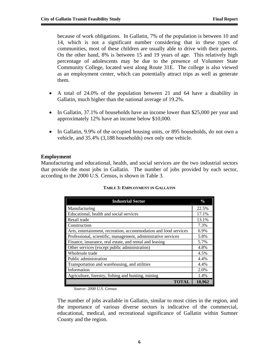because of work obligations. In Gallatin, 7% of the population is between 10 and 14, which is not a significant number considering that in these types of communities, most of these children are usually able to drive with their parents. On the other hand, 8% is between 15 and 19 years of age. This relatively high percentage of adolescents may be due to the presence of Volunteer State Community College, located west along Route 31E. The college is also viewed as an employment center, which can potentially attract trips as well as generate them.

- A total of 24.0% of the population between 21 and 64 have a disability in Gallatin, much higher than the national average of 19.2%.
- In Gallatin, 37.1% of households have an income lower than \$25,000 per year and approximately 12% have an income below \$10,000.
- In Gallatin, 9.9% of the occupied housing units, or 895 households, do not own a vehicle, and 35.4% (3,188 households) own only one vehicle.

## **Employment**

Manufacturing and educational, health, and social services are the two industrial sectors that provide the most jobs in Gallatin. The number of jobs provided by each sector, according to the 2000 U.S. Census, is shown in Table 3.

| <b>Industrial Sector</b>                                         | $\frac{0}{0}$ |
|------------------------------------------------------------------|---------------|
| Manufacturing                                                    | 22.5%         |
| Educational, health and social services                          | 17.1%         |
| Retail trade                                                     | 13.1%         |
| Construction                                                     | 7.3%          |
| Arts, entertainment, recreation, accommodation and food services | 6.9%          |
| Professional, scientific, management, administrative services    | 5.8%          |
| Finance, insurance, real estate, and rental and leasing          | 5.7%          |
| Other services (except public administration)                    | 4.8%          |
| Wholesale trade                                                  | 4.5%          |
| Public administration                                            | 4.4%          |
| Transportation and warehousing, and utilities                    | 4.4%          |
| Information                                                      | 2.0%          |
| Agriculture, forestry, fishing and hunting, mining               | 1.4%          |
| TOTAL                                                            | 10.962        |

#### **TABLE 3: EMPLOYMENT IN GALLATIN**

*Source: 2000 U.S. Census* 

The number of jobs available in Gallatin, similar to most cities in the region, and the importance of various diverse sectors is indicative of the commercial, educational, medical, and recreational significance of Gallatin within Sumner County and the region.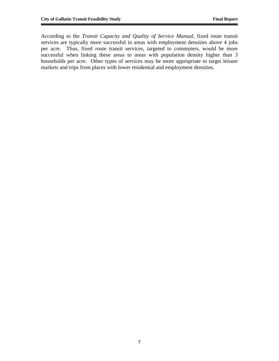According to the *Transit Capacity and Quality of Service Manual*, fixed route transit services are typically more successful in areas with employment densities above 4 jobs per acre. Thus, fixed route transit services, targeted to commuters, would be more successful when linking these areas to areas with population density higher than 3 households per acre. Other types of services may be more appropriate to target leisure markets and trips from places with lower residential and employment densities.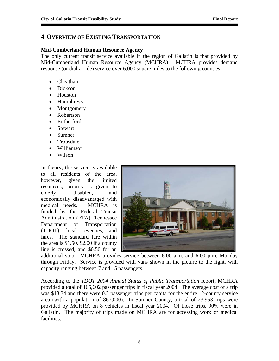## **4 OVERVIEW OF EXISTING TRANSPORTATION**

#### **Mid-Cumberland Human Resource Agency**

The only current transit service available in the region of Gallatin is that provided by Mid-Cumberland Human Resource Agency (MCHRA). MCHRA provides demand response (or dial-a-ride) service over 6,000 square miles to the following counties:

- Cheatham
- Dickson
- Houston
- Humphreys
- Montgomery
- Robertson
- Rutherford
- Stewart
- Sumner
- Trousdale
- Williamson
- Wilson

In theory, the service is available to all residents of the area, however, given the limited resources, priority is given to elderly, disabled, and economically disadvantaged with medical needs. MCHRA is funded by the Federal Transit Administration (FTA), Tennessee Department of Transportation (TDOT), local revenues, and fares. The standard fare within the area is \$1.50, \$2.00 if a county line is crossed, and \$0.50 for an



additional stop. MCHRA provides service between 6:00 a.m. and 6:00 p.m. Monday through Friday. Service is provided with vans shown in the picture to the right, with capacity ranging between 7 and 15 passengers.

According to the *TDOT 2004 Annual Status of Public Transportation* report, MCHRA provided a total of 165,602 passenger trips in fiscal year 2004. The average cost of a trip was \$18.34 and there were 0.2 passenger trips per capita for the entire 12-county service area (with a population of 867,000). In Sumner County, a total of 23,953 trips were provided by MCHRA on 8 vehicles in fiscal year 2004. Of those trips, 90% were in Gallatin. The majority of trips made on MCHRA are for accessing work or medical facilities.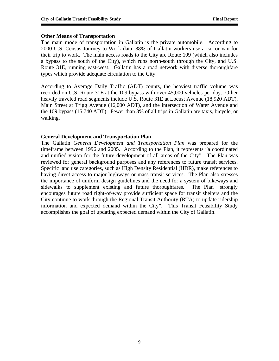#### **Other Means of Transportation**

The main mode of transportation in Gallatin is the private automobile. According to 2000 U.S. Census Journey to Work data, 88% of Gallatin workers use a car or van for their trip to work. The main access roads to the City are Route 109 (which also includes a bypass to the south of the City), which runs north-south through the City, and U.S. Route 31E, running east-west. Gallatin has a road network with diverse thoroughfare types which provide adequate circulation to the City.

According to Average Daily Traffic (ADT) counts, the heaviest traffic volume was recorded on U.S. Route 31E at the 109 bypass with over 45,000 vehicles per day. Other heavily traveled road segments include U.S. Route 31E at Locust Avenue (18,920 ADT), Main Street at Trigg Avenue (16,000 ADT), and the intersection of Water Avenue and the 109 bypass (15,740 ADT). Fewer than 3% of all trips in Gallatin are taxis, bicycle, or walking.

#### **General Development and Transportation Plan**

The Gallatin *General Development and Transportation Plan* was prepared for the timeframe between 1996 and 2005. According to the Plan, it represents "a coordinated and unified vision for the future development of all areas of the City". The Plan was reviewed for general background purposes and any references to future transit services. Specific land use categories, such as High Density Residential (HDR), make references to having direct access to major highways or mass transit services. The Plan also stresses the importance of uniform design guidelines and the need for a system of bikeways and sidewalks to supplement existing and future thoroughfares. The Plan "strongly encourages future road right-of-way provide sufficient space for transit shelters and the City continue to work through the Regional Transit Authority (RTA) to update ridership information and expected demand within the City". This Transit Feasibility Study accomplishes the goal of updating expected demand within the City of Gallatin.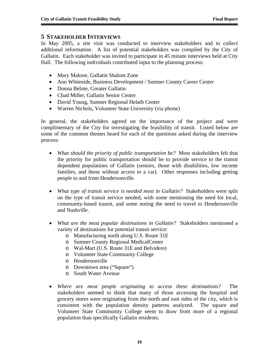## **5 STAKEHOLDER INTERVIEWS**

In May 2005, a site visit was conducted to interview stakeholders and to collect additional information. A list of potential stakeholders was compiled by the City of Gallatin. Each stakeholder was invited to participate in 45 minute interviews held at City Hall. The following individuals contributed input to the planning process:

- Mary Malone, Gallatin Shalom Zone
- Ann Whiteside, Business Development / Sumner County Career Center
- Donna Belote, Greater Gallatin
- Chad Miller, Gallatin Senior Center
- David Young, Sumner Regional Helath Center
- Warren Nichols, Volunteer State University (via phone)

In general, the stakeholders agreed on the importance of the project and were complimentary of the City for investigating the feasibility of transit. Listed below are some of the common themes heard for each of the questions asked during the interview process:

- *What should the priority of public transportation be?* Most stakeholders felt that the priority for public transportation should be to provide service to the transit dependent populations of Gallatin (seniors, those with disabilities, low income families, and those without access to a car). Other responses including getting people to and from Hendersonville.
- *What type of transit service is needed most in Gallatin?* Stakeholders were split on the type of transit service needed, with some mentioning the need for local, community-based transit, and some noting the need to travel to Hendersonville and Nashville.
- *What are the most popular destinations in Gallatin?* Stakeholders mentioned a variety of destinations for potential transit service:
	- o Manufacturing north along U.S. Route 31E
	- o Sumner County Regional MedicalCenter
	- o Wal-Mart (U.S. Route 31E and Belvidere)
	- o Volunteer State Community College
	- o Hendersonville
	- o Downtown area ("Square")
	- o South Water Avenue
- *Where are most people originating to access these destinations?* The stakeholders seemed to think that many of those accessing the hospital and grocery stores were originating from the north and east sides of the city, which is consistent with the population density patterns analyzed. The square and Volunteer State Community College seem to draw from more of a regional population than specifically Gallatin residents.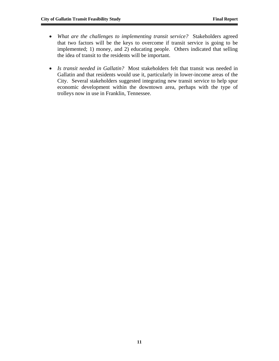- *What are the challenges to implementing transit service?* Stakeholders agreed that two factors will be the keys to overcome if transit service is going to be implemented; 1) money, and 2) educating people. Others indicated that selling the idea of transit to the residents will be important.
- *Is transit needed in Gallatin?* Most stakeholders felt that transit was needed in Gallatin and that residents would use it, particularly in lower-income areas of the City. Several stakeholders suggested integrating new transit service to help spur economic development within the downtown area, perhaps with the type of trolleys now in use in Franklin, Tennessee.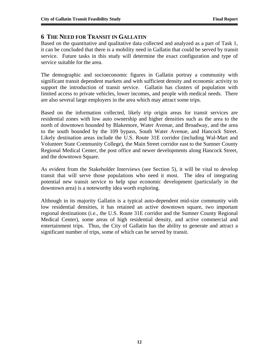## **6 THE NEED FOR TRANSIT IN GALLATIN**

Based on the quantitative and qualitative data collected and analyzed as a part of Task 1, it can be concluded that there is a mobility need in Gallatin that could be served by transit service. Future tasks in this study will determine the exact configuration and type of service suitable for the area.

The demographic and socioeconomic figures in Gallatin portray a community with significant transit dependent markets and with sufficient density and economic activity to support the introduction of transit service. Gallatin has clusters of population with limited access to private vehicles, lower incomes, and people with medical needs. There are also several large employers in the area which may attract some trips.

Based on the information collected, likely trip origin areas for transit services are residential zones with low auto ownership and higher densities such as the area to the north of downtown bounded by Blakemore, Water Avenue, and Broadway, and the area to the south bounded by the 109 bypass, South Water Avenue, and Hancock Street. Likely destination areas include the U.S. Route 31E corridor (including Wal-Mart and Volunteer State Community College), the Main Street corridor east to the Sumner County Regional Medical Center, the post office and newer developments along Hancock Street, and the downtown Square.

As evident from the Stakeholder Interviews (see Section 5), it will be vital to develop transit that will serve those populations who need it most. The idea of integrating potential new transit service to help spur economic development (particularly in the downtown area) is a noteworthy idea worth exploring.

Although in its majority Gallatin is a typical auto-dependent mid-size community with low residential densities, it has retained an active downtown square, two important regional destinations (i.e., the U.S. Route 31E corridor and the Sumner County Regional Medical Center), some areas of high residential density, and active commercial and entertainment trips. Thus, the City of Gallatin has the ability to generate and attract a significant number of trips, some of which can be served by transit.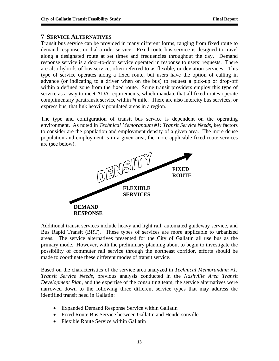## **7 SERVICE ALTERNATIVES**

Transit bus service can be provided in many different forms, ranging from fixed route to demand response, or dial-a-ride, service. Fixed route bus service is designed to travel along a designated route at set times and frequencies throughout the day. Demand response service is a door-to-door service operated in response to users' requests. There are also hybrids of bus service, often referred to as flexible, or deviation services. This type of service operates along a fixed route, but users have the option of calling in advance (or indicating to a driver when on the bus) to request a pick-up or drop-off within a defined zone from the fixed route. Some transit providers employ this type of service as a way to meet ADA requirements, which mandate that all fixed routes operate complimentary paratransit service within ¾ mile. There are also intercity bus services, or express bus, that link heavily populated areas in a region.

The type and configuration of transit bus service is dependent on the operating environment. As noted in *Technical Memorandum #1: Transit Service Needs*, key factors to consider are the population and employment density of a given area. The more dense population and employment is in a given area, the more applicable fixed route services are (see below).

![](_page_14_Picture_5.jpeg)

Additional transit services include heavy and light rail, automated guideway service, and Bus Rapid Transit (BRT). These types of services are more applicable to urbanized areas. The service alternatives presented for the City of Gallatin all use bus as the primary mode. However, with the preliminary planning about to begin to investigate the possibility of commuter rail service through the northeast corridor, efforts should be made to coordinate these different modes of transit service.

Based on the characteristics of the service area analyzed in *Technical Memorandum #1: Transit Service Needs,* previous analysis conducted in the *Nashville Area Transit Development Plan*, and the expertise of the consulting team, the service alternatives were narrowed down to the following three different service types that may address the identified transit need in Gallatin:

- Expanded Demand Response Service within Gallatin
- Fixed Route Bus Service between Gallatin and Hendersonville
- Flexible Route Service within Gallatin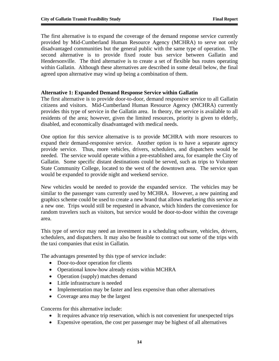The first alternative is to expand the coverage of the demand response service currently provided by Mid-Cumberland Human Resource Agency (MCHRA) to serve not only disadvantaged communities but the general public with the same type of operation. The second alternative is to provide fixed route bus service between Gallatin and Hendersonville. The third alternative is to create a set of flexible bus routes operating within Gallatin. Although these alternatives are described in some detail below, the final agreed upon alternative may wind up being a combination of them.

## **Alternative 1: Expanded Demand Response Service within Gallatin**

The first alternative is to provide door-to-door, demand responsive service to all Gallatin citizens and visitors. Mid-Cumberland Human Resource Agency (MCHRA) currently provides this type of service in the Gallatin area. In theory, the service is available to all residents of the area; however, given the limited resources, priority is given to elderly, disabled, and economically disadvantaged with medical needs.

One option for this service alternative is to provide MCHRA with more resources to expand their demand-responsive service. Another option is to have a separate agency provide service. Thus, more vehicles, drivers, schedulers, and dispatchers would be needed. The service would operate within a pre-established area, for example the City of Gallatin. Some specific distant destinations could be served, such as trips to Volunteer State Community College, located to the west of the downtown area. The service span would be expanded to provide night and weekend service.

New vehicles would be needed to provide the expanded service. The vehicles may be similar to the passenger vans currently used by MCHRA. However, a new painting and graphics scheme could be used to create a new brand that allows marketing this service as a new one. Trips would still be requested in advance, which hinders the convenience for random travelers such as visitors, but service would be door-to-door within the coverage area.

This type of service may need an investment in a scheduling software, vehicles, drivers, schedulers, and dispatchers. It may also be feasible to contract out some of the trips with the taxi companies that exist in Gallatin.

The advantages presented by this type of service include:

- Door-to-door operation for clients
- Operational know-how already exists within MCHRA
- Operation (supply) matches demand
- Little infrastructure is needed
- Implementation may be faster and less expensive than other alternatives
- Coverage area may be the largest

Concerns for this alternative include:

- It requires advance trip reservation, which is not convenient for unexpected trips
- Expensive operation, the cost per passenger may be highest of all alternatives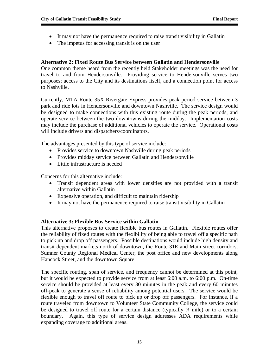- It may not have the permanence required to raise transit visibility in Gallatin
- The impetus for accessing transit is on the user

## **Alternative 2: Fixed Route Bus Service between Gallatin and Hendersonville**

One common theme heard from the recently held Stakeholder meetings was the need for travel to and from Hendersonville. Providing service to Hendersonville serves two purposes; access to the City and its destinations itself, and a connection point for access to Nashville.

Currently, MTA Route 35X Rivergate Express provides peak period service between 3 park and ride lots in Hendersonville and downtown Nashville. The service design would be designed to make connections with this existing route during the peak periods, and operate service between the two downtowns during the midday. Implementation costs may include the purchase of additional vehicles to operate the service. Operational costs will include drivers and dispatchers/coordinators.

The advantages presented by this type of service include:

- Provides service to downtown Nashville during peak periods
- Provides midday service between Gallatin and Hendersonville
- Little infrastructure is needed

Concerns for this alternative include:

- Transit dependent areas with lower densities are not provided with a transit alternative within Gallatin
- Expensive operation, and difficult to maintain ridership
- It may not have the permanence required to raise transit visibility in Gallatin

## **Alternative 3: Flexible Bus Service within Gallatin**

This alternative proposes to create flexible bus routes in Gallatin. Flexible routes offer the reliability of fixed routes with the flexibility of being able to travel off a specific path to pick up and drop off passengers. Possible destinations would include high density and transit dependent markets north of downtown, the Route 31E and Main street corridors, Sumner County Regional Medical Center, the post office and new developments along Hancock Street, and the downtown Square.

The specific routing, span of service, and frequency cannot be determined at this point, but it would be expected to provide service from at least 6:00 a.m. to 6:00 p.m. On-time service should be provided at least every 30 minutes in the peak and every 60 minutes off-peak to generate a sense of reliability among potential users. The service would be flexible enough to travel off route to pick up or drop off passengers. For instance, if a route traveled from downtown to Volunteer State Community College, the service could be designed to travel off route for a certain distance (typically  $\frac{3}{4}$  mile) or to a certain boundary. Again, this type of service design addresses ADA requirements while expanding coverage to additional areas.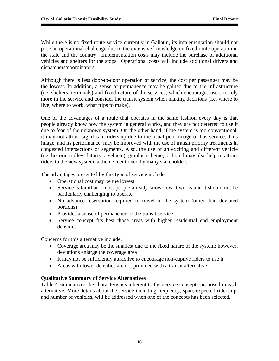While there is no fixed route service currently in Gallatin, its implementation should not pose an operational challenge due to the extensive knowledge on fixed route operation in the state and the country. Implementation costs may include the purchase of additional vehicles and shelters for the stops. Operational costs will include additional drivers and dispatchers/coordinators.

Although there is less door-to-door operation of service, the cost per passenger may be the lowest. In addition, a sense of permanence may be gained due to the infrastructure (i.e. shelters, terminals) and fixed nature of the services, which encourages users to rely more in the service and consider the transit system when making decisions (i.e. where to live, where to work, what trips to make).

One of the advantages of a route that operates in the same fashion every day is that people already know how the system in general works, and they are not deterred to use it due to fear of the unknown system. On the other hand, if the system is too conventional, it may not attract significant ridership due to the usual poor image of bus service. This image, and its performance, may be improved with the use of transit priority treatments in congested intersections or segments. Also, the use of an exciting and different vehicle (i.e. historic trolley, futuristic vehicle), graphic scheme, or brand may also help to attract riders to the new system, a theme mentioned by many stakeholders.

The advantages presented by this type of service include:

- Operational cost may be the lowest
- Service is familiar—most people already know how it works and it should not be particularly challenging to operate
- No advance reservation required to travel in the system (other than deviated portions)
- Provides a sense of permanence of the transit service
- Service concept fits best those areas with higher residential end employment densities

Concerns for this alternative include:

- Coverage area may be the smallest due to the fixed nature of the system; however, deviations enlarge the coverage area
- It may not be sufficiently attractive to encourage non-captive riders to use it
- Areas with lower densities are not provided with a transit alternative

#### **Qualitative Summary of Service Alternatives**

Table 4 summarizes the characteristics inherent to the service concepts proposed in each alternative. More details about the service including frequency, span, expected ridership, and number of vehicles, will be addressed when one of the concepts has been selected.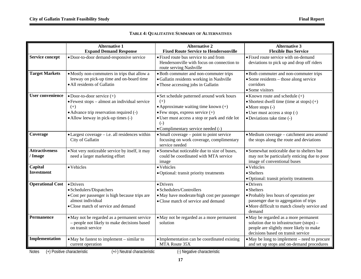|  | TABLE 4: QUALITATIVE SUMMARY OF ALTERNATIVES |
|--|----------------------------------------------|
|--|----------------------------------------------|

|                         | <b>Alternative 1</b>                                                      | <b>Alternative 2</b>                                                                | <b>Alternative 3</b>                                                                      |
|-------------------------|---------------------------------------------------------------------------|-------------------------------------------------------------------------------------|-------------------------------------------------------------------------------------------|
|                         | <b>Expand Demand Response</b>                                             | <b>Fixed Route Service to Hendersonville</b>                                        | <b>Flexible Bus Service</b>                                                               |
| <b>Service concept</b>  | · Door-to-door demand-responsive service                                  | • Fixed route bus service to and from<br>Hendersonville with focus on connection to | • Fixed route service with on-demand<br>deviations to pick up and drop off riders         |
|                         |                                                                           | route serving Nashville                                                             |                                                                                           |
| <b>Target Markets</b>   | • Mostly non-commuters in trips that allow a                              | • Both commuter and non-commuter trips                                              | • Both commuter and non-commuter trips                                                    |
|                         | leeway on pick-up time and on-board time<br>• All residents of Gallatin   | · Gallatin residents working in Nashville<br>• Those accessing jobs in Gallatin     | $\bullet$ Some residents – those along service<br>corridors                               |
|                         |                                                                           |                                                                                     | • Some visitors                                                                           |
| <b>User convenience</b> | $\bullet$ Door-to-door service $(+)$                                      | • Set schedule patterned around work hours                                          | $\bullet$ Known route and schedule $(+)$                                                  |
|                         | • Fewest stops – almost an individual service                             | $(+)$                                                                               | • Shortest dwell time (time at stops) $(+)$                                               |
|                         | $(+)$                                                                     | • Approximate waiting time known $(+)$                                              | $\bullet$ More stops $(-)$                                                                |
|                         | • Advance trip reservation required (-)                                   | $\bullet$ Few stops, express service $(+)$                                          | • User must access a stop (-)                                                             |
|                         | • Allow leeway in pick-up times (-)                                       | · User must access a stop or park and ride lot<br>$(-)$                             | • Deviations take time (-)                                                                |
|                         |                                                                           | • Complimentary service needed (-)                                                  |                                                                                           |
| Coverage                | • Largest coverage - i.e. all residences within                           | $\bullet$ Small coverage – point to point service                                   | · Medium coverage - catchment area around                                                 |
|                         | City of Gallatin                                                          | focusing on work coverage, complimentary<br>service needed                          | the stops along the route and deviations                                                  |
| <b>Attractiveness</b>   | • Not very noticeable service by itself, it may                           | • Somewhat noticeable due to size of buses,                                         | • Somewhat noticeable due to shelters but                                                 |
| / Image                 | need a larger marketing effort                                            | could be coordinated with MTA service<br>image                                      | may not be particularly enticing due to poor<br>image of conventional buses               |
| Capital                 | • Vehicles                                                                | • Vehicles                                                                          | • Vehicles                                                                                |
| <b>Investment</b>       |                                                                           | · Optional: transit priority treatments                                             | • Shelters                                                                                |
|                         |                                                                           |                                                                                     | · Optional: transit priority treatments                                                   |
| <b>Operational Cost</b> | $\bullet$ Drivers                                                         | $\bullet$ Drivers                                                                   | $\bullet$ Drivers                                                                         |
|                         | • Schedulers/Dispatchers                                                  | · Schedulers/Controllers                                                            | • Shelters                                                                                |
|                         | • Cost per passenger is high because trips are                            | · May have moderate/high cost per passenger                                         | • Probably less hours of operation per                                                    |
|                         | almost individual<br>• Close match of service and demand                  | • Close match of service and demand                                                 | passenger due to aggregation of trips                                                     |
|                         |                                                                           |                                                                                     | • More difficult to match closely service and<br>demand                                   |
| <b>Permanence</b>       | • May not be regarded as a permanent service                              | • May not be regarded as a more permanent                                           | • May be regarded as a more permanent                                                     |
|                         | - people not likely to make decisions based                               | solution                                                                            | solution due to infrastructure (stops) –                                                  |
|                         | on transit service                                                        |                                                                                     | people are slightly more likely to make                                                   |
|                         |                                                                           |                                                                                     | decisions based on transit service                                                        |
| Implementation          | $\bullet$ May be fastest to implement $-$ similar to<br>current operation | • Implementation can be coordinated existing<br>MTA Route 35X                       | • May be long to implement – need to procure<br>and set up stops and on-demand procedures |
|                         |                                                                           |                                                                                     |                                                                                           |

Notes (+) Positive characteristic (+/-) Neutral characteristic (-) Negative characteristic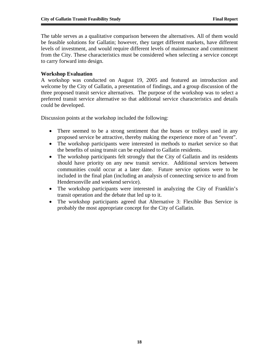The table serves as a qualitative comparison between the alternatives. All of them would be feasible solutions for Gallatin; however, they target different markets, have different levels of investment, and would require different levels of maintenance and commitment from the City. These characteristics must be considered when selecting a service concept to carry forward into design.

## **Workshop Evaluation**

A workshop was conducted on August 19, 2005 and featured an introduction and welcome by the City of Gallatin, a presentation of findings, and a group discussion of the three proposed transit service alternatives. The purpose of the workshop was to select a preferred transit service alternative so that additional service characteristics and details could be developed.

Discussion points at the workshop included the following:

- There seemed to be a strong sentiment that the buses or trolleys used in any proposed service be attractive, thereby making the experience more of an "event".
- The workshop participants were interested in methods to market service so that the benefits of using transit can be explained to Gallatin residents.
- The workshop participants felt strongly that the City of Gallatin and its residents should have priority on any new transit service. Additional services between communities could occur at a later date. Future service options were to be included in the final plan (including an analysis of connecting service to and from Hendersonville and weekend service).
- The workshop participants were interested in analyzing the City of Franklin's transit operation and the debate that led up to it.
- The workshop participants agreed that Alternative 3: Flexible Bus Service is probably the most appropriate concept for the City of Gallatin.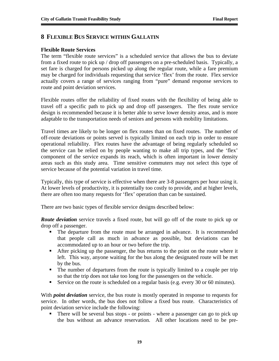## **8 FLEXIBLE BUS SERVICE WITHIN GALLATIN**

#### **Flexible Route Services**

The term "flexible route services" is a scheduled service that allows the bus to deviate from a fixed route to pick up / drop off passengers on a pre-scheduled basis. Typically, a set fare is charged for persons picked up along the regular route, while a fare premium may be charged for individuals requesting that service 'flex' from the route. Flex service actually covers a range of services ranging from "pure" demand response services to route and point deviation services.

Flexible routes offer the reliability of fixed routes with the flexibility of being able to travel off a specific path to pick up and drop off passengers. The flex route service design is recommended because it is better able to serve lower density areas, and is more adaptable to the transportation needs of seniors and persons with mobility limitations.

Travel times are likely to be longer on flex routes than on fixed routes. The number of off-route deviations or points served is typically limited on each trip in order to ensure operational reliability. Flex routes have the advantage of being regularly scheduled so the service can be relied on by people wanting to make all trip types, and the 'flex' component of the service expands its reach, which is often important in lower density areas such as this study area. Time sensitive commuters may not select this type of service because of the potential variation in travel time.

Typically, this type of service is effective when there are 3-8 passengers per hour using it. At lower levels of productivity, it is potentially too costly to provide, and at higher levels, there are often too many requests for 'flex' operation than can be sustained.

There are two basic types of flexible service designs described below:

*Route deviation* service travels a fixed route, but will go off of the route to pick up or drop off a passenger.

- The departure from the route must be arranged in advance. It is recommended that people call as much in advance as possible, but deviations can be accommodated up to an hour or two before the trip.
- After picking up the passenger, the bus returns to the point on the route where it left. This way, anyone waiting for the bus along the designated route will be met by the bus.
- The number of departures from the route is typically limited to a couple per trip so that the trip does not take too long for the passengers on the vehicle.
- Service on the route is scheduled on a regular basis (e.g. every 30 or 60 minutes).

With *point deviation* service, the bus route is mostly operated in response to requests for service. In other words, the bus does not follow a fixed bus route. Characteristics of point deviation service include the following:

 There will be several bus stops - or points - where a passenger can go to pick up the bus without an advance reservation. All other locations need to be pre-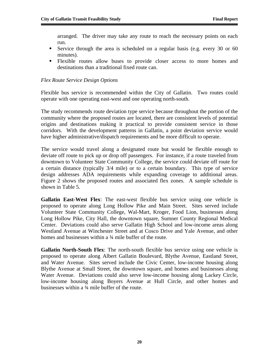arranged. The driver may take any route to reach the necessary points on each run.

- Service through the area is scheduled on a regular basis (e.g. every 30 or 60 minutes).
- Flexible routes allow buses to provide closer access to more homes and destinations than a traditional fixed route can.

## *Flex Route Service Design Options*

Flexible bus service is recommended within the City of Gallatin. Two routes could operate with one operating east-west and one operating north-south.

The study recommends route deviation type service because throughout the portion of the community where the proposed routes are located, there are consistent levels of potential origins and destinations making it practical to provide consistent service in those corridors. With the development patterns in Gallatin, a point deviation service would have higher administrative/dispatch requirements and be more difficult to operate.

The service would travel along a designated route but would be flexible enough to deviate off route to pick up or drop off passengers. For instance, if a route traveled from downtown to Volunteer State Community College, the service could deviate off route for a certain distance (typically 3/4 mile) or to a certain boundary. This type of service design addresses ADA requirements while expanding coverage to additional areas. Figure 2 shows the proposed routes and associated flex zones. A sample schedule is shown in Table 5.

**Gallatin East-West Flex**: The east-west flexible bus service using one vehicle is proposed to operate along Long Hollow Pike and Main Street. Sites served include Volunteer State Community College, Wal-Mart, Kroger, Food Lion, businesses along Long Hollow Pike, City Hall, the downtown square, Sumner County Regional Medical Center. Deviations could also serve Gallatin High School and low-income areas along Westland Avenue at Winchester Street and at Cosco Drive and Yale Avenue, and other homes and businesses within a <sup>3</sup>/4 mile buffer of the route.

**Gallatin North-South Flex**: The north-south flexible bus service using one vehicle is proposed to operate along Albert Gallatin Boulevard, Blythe Avenue, Eastland Street, and Water Avenue. Sites served include the Civic Center, low-income housing along Blythe Avenue at Small Street, the downtown square, and homes and businesses along Water Avenue. Deviations could also serve low-income housing along Lackey Circle, low-income housing along Boyers Avenue at Hull Circle, and other homes and businesses within a ¾ mile buffer of the route.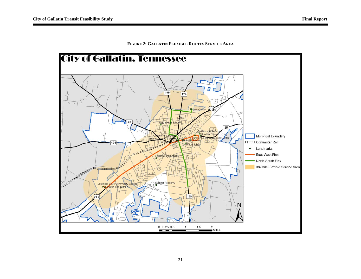#### **FIGURE 2: GALLATIN FLEXIBLE ROUTES SERVICE AREA**

![](_page_22_Figure_3.jpeg)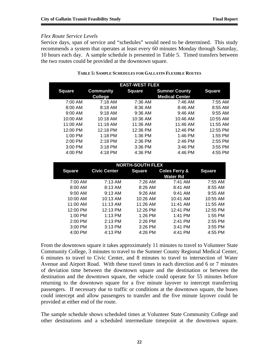## *Flex Route Service Levels*

Service days, span of service and "schedules" would need to be determined. This study recommends a system that operates at least every 60 minutes Monday through Saturday, 10 hours each day. A sample schedule is presented in Table 5. Timed transfers between the two routes could be provided at the downtown square.

| <b>EAST-WEST FLEX</b> |                  |               |                       |               |  |
|-----------------------|------------------|---------------|-----------------------|---------------|--|
| <b>Square</b>         | <b>Community</b> | <b>Square</b> | <b>Sumner County</b>  | <b>Square</b> |  |
|                       | <b>College</b>   |               | <b>Medical Center</b> |               |  |
| 7:00 AM               | $7:18$ AM        | 7:36 AM       | 7:46 AM               | 7:55 AM       |  |
| 8:00 AM               | 8:18 AM          | 8:36 AM       | 8:46 AM               | 8:55 AM       |  |
| $9:00$ AM             | $9:18$ AM        | 9:36 AM       | $9:46$ AM             | 9:55 AM       |  |
| 10:00 AM              | $10:18$ AM       | 10:36 AM      | 10:46 AM              | 10:55 AM      |  |
| 11:00 AM              | 11:18 AM         | 11:36 AM      | 11:46 AM              | 11:55 AM      |  |
| 12:00 PM              | 12:18 PM         | 12:36 PM      | 12:46 PM              | 12:55 PM      |  |
| $1:00$ PM             | $1:18$ PM        | 1:36 PM       | 1:46 PM               | 1:55 PM       |  |
| 2:00 PM               | 2:18 PM          | 2:36 PM       | 2:46 PM               | 2:55 PM       |  |
| 3:00 PM               | $3:18$ PM        | 3:36 PM       | 3:46 PM               | 3:55 PM       |  |
| $4:00$ PM             | 4:18 PM          | 4:36 PM       | 4:46 PM               | 4:55 PM       |  |

#### **TABLE 5: SAMPLE SCHEDULES FOR GALLATIN FLEXIBLE ROUTES**

| <b>NORTH-SOUTH FLEX</b> |                     |               |                          |               |  |  |
|-------------------------|---------------------|---------------|--------------------------|---------------|--|--|
| Square                  | <b>Civic Center</b> | <b>Square</b> | <b>Coles Ferry &amp;</b> | <b>Square</b> |  |  |
|                         |                     |               | Water Rd                 |               |  |  |
| 7:00 AM                 | 7:13 AM             | 7:26 AM       | $7:41$ AM                | 7:55 AM       |  |  |
| 8:00 AM                 | 8:13 AM             | $8:26$ AM     | $8:41$ AM                | 8:55 AM       |  |  |
| $9:00$ AM               | 9:13 AM             | $9:26$ AM     | $9:41$ AM                | $9:55$ AM     |  |  |
| 10:00 AM                | 10:13 AM            | 10:26 AM      | 10:41 AM                 | 10:55 AM      |  |  |
| 11:00 AM                | $11:13$ AM          | 11:26 AM      | $11:41$ AM               | 11:55 AM      |  |  |
| 12:00 PM                | 12:13 PM            | 12:26 PM      | 12:41 PM                 | 12:55 PM      |  |  |
| $1:00$ PM               | $1:13$ PM           | $1:26$ PM     | $1:41$ PM                | 1:55 PM       |  |  |
| $2:00$ PM               | 2:13 PM             | 2:26 PM       | 2:41 PM                  | 2:55 PM       |  |  |
| $3:00$ PM               | 3:13 PM             | 3:26 PM       | 3:41 PM                  | 3:55 PM       |  |  |
| $4:00$ PM               | 4:13 PM             | 4:26 PM       | 4:41 PM                  | 4:55 PM       |  |  |

From the downtown square it takes approximately 11 minutes to travel to Volunteer State Community College, 3 minutes to travel to the Sumner County Regional Medical Center, 6 minutes to travel to Civic Center, and 8 minutes to travel to intersection of Water Avenue and Airport Road. With these travel times in each direction and 6 or 7 minutes of deviation time between the downtown square and the destination or between the destination and the downtown square, the vehicle could operate for 55 minutes before returning to the downtown square for a five minute layover to intercept transferring passengers. If necessary due to traffic or conditions at the downtown square, the buses could intercept and allow passengers to transfer and the five minute layover could be provided at either end of the route.

The sample schedule shows scheduled times at Volunteer State Community College and other destinations and a scheduled intermediate timepoint at the downtown square.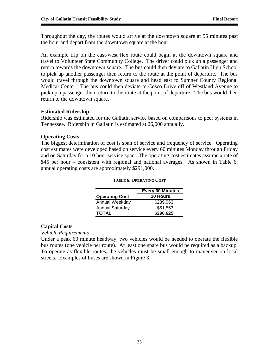Throughout the day, the routes would arrive at the downtown square at 55 minutes past the hour and depart from the downtown square at the hour.

An example trip on the east-west flex route could begin at the downtown square and travel to Volunteer State Community College. The driver could pick up a passenger and return towards the downtown square. The bus could then deviate to Gallatin High School to pick up another passenger then return to the route at the point of departure. The bus would travel through the downtown square and head east to Sumner County Regional Medical Center. The bus could then deviate to Cosco Drive off of Westland Avenue to pick up a passenger then return to the route at the point of departure. The bus would then return to the downtown square.

## **Estimated Ridership**

Ridership was estimated for the Gallatin service based on comparisons to peer systems in Tennessee. Ridership in Gallatin is estimated at 26,000 annually.

#### **Operating Costs**

The biggest determination of cost is span of service and frequency of service. Operating cost estimates were developed based on service every 60 minutes Monday through Friday and on Saturday for a 10 hour service span. The operating cost estimates assume a rate of \$45 per hour – consistent with regional and national averages. As shown in Table 6, annual operating costs are approximately \$291,000.

|                        | <b>Every 60 Minutes</b> |
|------------------------|-------------------------|
| <b>Operating Cost</b>  | <b>10 Hours</b>         |
| Annual Weekday         | \$239,063               |
| <b>Annual Saturday</b> | \$51,563                |
| <b>TOTAL</b>           | \$290,625               |

#### **TABLE 6: OPERATING COST**

#### **Capital Costs**

*Vehicle Requirements* 

Under a peak 60 minute headway, two vehicles would be needed to operate the flexible bus routes (one vehicle per route). At least one spare bus would be required as a backup. To operate as flexible routes, the vehicles must be small enough to maneuver on local streets. Examples of buses are shown in Figure 3.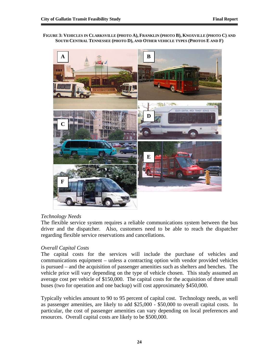#### **FIGURE 3: VEHICLES IN CLARKSVILLE (PHOTO A), FRANKLIN (PHOTO B), KNOXVILLE (PHOTO C) AND SOUTH CENTRAL TENNESSEE (PHOTO D), AND OTHER VEHICLE TYPES (PHOTOS E AND F)**

![](_page_25_Picture_3.jpeg)

## *Technology Needs*

The flexible service system requires a reliable communications system between the bus driver and the dispatcher. Also, customers need to be able to reach the dispatcher regarding flexible service reservations and cancellations.

## *Overall Capital Costs*

The capital costs for the services will include the purchase of vehicles and communications equipment – unless a contracting option with vendor provided vehicles is pursued – and the acquisition of passenger amenities such as shelters and benches. The vehicle price will vary depending on the type of vehicle chosen. This study assumed an average cost per vehicle of \$150,000. The capital costs for the acquisition of three small buses (two for operation and one backup) will cost approximately \$450,000.

Typically vehicles amount to 90 to 95 percent of capital cost. Technology needs, as well as passenger amenities, are likely to add \$25,000 - \$50,000 to overall capital costs. In particular, the cost of passenger amenities can vary depending on local preferences and resources. Overall capital costs are likely to be \$500,000.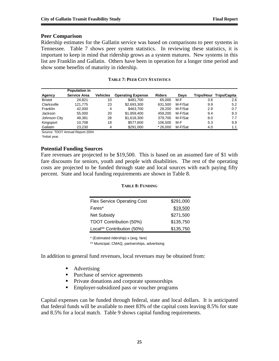#### **Peer Comparison**

Ridership estimates for the Gallatin service was based on comparisons to peer systems in Tennessee. Table 7 shows peer system statistics. In reviewing these statistics, it is important to keep in mind that ridership grows as a system matures. New systems in this list are Franklin and Gallatin. Others have been in operation for a longer time period and show some benefits of maturity in ridership.

|                | <b>Population in</b> |                 |                          |               |         |                   |              |
|----------------|----------------------|-----------------|--------------------------|---------------|---------|-------------------|--------------|
| <b>Agency</b>  | <b>Service Area</b>  | <b>Vehicles</b> | <b>Operating Expense</b> | <b>Riders</b> | Davs    | <b>Trips/Hour</b> | Trips/Capita |
| <b>Bristol</b> | 24.821               | 10              | \$481.700                | 65.000        | M-F     | 3.6               | 2.6          |
| Clarksville    | 121.775              | 23              | \$2,693,300              | 631,500       | M-F/Sat | 9.9               | 5.2          |
| Franklin       | 42,000               | 4               | \$463.700                | 28,200        | M-F/Sat | 2.9               | 0.7          |
| Jackson        | 55,000               | 20              | \$1.959.400              | 459.200       | M-F/Sat | 9.4               | 8.3          |
| Johnson City   | 49.381               | 28              | \$1,618,300              | 379.700       | M-F/Sat | 8.0               | 7.7          |
| Kingsport      | 10.708               | 18              | \$577,600                | 106.500       | M-F     | 5.3               | 9.9          |
| Gallatin       | 23.230               | 4               | \$291,000                | $*26.000$     | M-F/Sat | 4.0               | 1.1          |

#### **TABLE 7: PEER CITY STATISTICS**

Source: TDOT Annual Report-2004

\*Initial year.

#### **Potential Funding Sources**

Fare revenues are projected to be \$19,500. This is based on an assumed fare of \$1 with fare discounts for seniors, youth and people with disabilities. The rest of the operating costs are projected to be funded through state and local sources with each paying fifty percent. State and local funding requirements are shown in Table 8.

#### **TABLE 8: FUNDING**

| <b>Flex Service Operating Cost</b> | \$291,000 |
|------------------------------------|-----------|
| Fares*                             | \$19,500  |
| <b>Net Subsidy</b>                 | \$271,500 |
| TDOT Contribution (50%)            | \$135,750 |
| Local** Contribution (50%)         | \$135,750 |

\* (Estimated ridership) x (avg. fare)

\*\* Municipal, CMAQ, partnerships, advertising

In addition to general fund revenues, local revenues may be obtained from:

- Advertising
- Purchase of service agreements
- Private donations and corporate sponsorships
- **Employer-subsidized pass or voucher programs**

Capital expenses can be funded through federal, state and local dollars. It is anticipated that federal funds will be available to meet 83% of the capital costs leaving 8.5% for state and 8.5% for a local match. Table 9 shows capital funding requirements.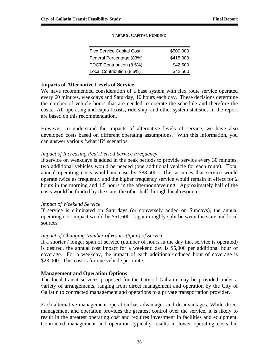| <b>Flex Service Capital Cost</b> | \$500,000 |
|----------------------------------|-----------|
| Federal Percentage (83%)         | \$415,000 |
| TDOT Contribution (8.5%)         | \$42,500  |
| Local Contribution (8.5%)        | \$42,500  |

#### **TABLE 9: CAPITAL FUNDING**

#### **Impacts of Alternative Levels of Service**

We have recommended consideration of a base system with flex route service operated every 60 minutes, weekdays and Saturday, 10 hours each day. These decisions determine the number of vehicle hours that are needed to operate the schedule and therefore the costs. All operating and capital costs, ridership, and other system statistics in the report are based on this recommendation.

However, to understand the impacts of alternative levels of service, we have also developed costs based on different operating assumptions. With this information, you can answer various 'what if?' scenarios.

#### *Impact of Increasing Peak Period Service Frequency*

If service on weekdays is added in the peak periods to provide service every 30 minutes, two additional vehicles would be needed (one additional vehicle for each route). Total annual operating costs would increase by \$88,500. This assumes that service would operate twice as frequently and the higher frequency service would remain in effect for 2 hours in the morning and 1.5 hours in the afternoon/evening. Approximately half of the costs would be funded by the state, the other half through local resources.

#### *Impact of Weekend Service*

If service is eliminated on Saturdays (or conversely added on Sundays), the annual operating cost impact would be \$51,600 – again roughly split between the state and local sources.

#### *Impact of Changing Number of Hours (Span) of Service*

If a shorter / longer span of service (number of hours in the day that service is operated) is desired, the annual cost impact for a weekend day is \$5,000 per additional hour of coverage. For a weekday, the impact of each additional/reduced hour of coverage is \$23,000. This cost is for one vehicle per route.

#### **Management and Operation Options**

The local transit services proposed for the City of Gallatin may be provided under a variety of arrangements, ranging from direct management and operation by the City of Gallatin to contracted management and operations to a private transportation provider.

Each alternative management operation has advantages and disadvantages. While direct management and operation provides the greatest control over the service, it is likely to result in the greatest operating cost and requires investment in facilities and equipment. Contracted management and operation typically results in lower operating costs but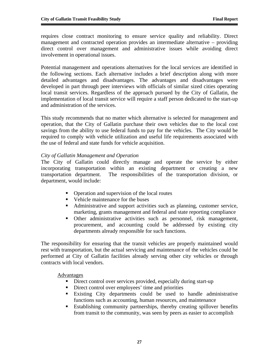requires close contract monitoring to ensure service quality and reliability. Direct management and contracted operation provides an intermediate alternative – providing direct control over management and administrative issues while avoiding direct involvement in operational issues.

Potential management and operations alternatives for the local services are identified in the following sections. Each alternative includes a brief description along with more detailed advantages and disadvantages. The advantages and disadvantages were developed in part through peer interviews with officials of similar sized cities operating local transit services. Regardless of the approach pursued by the City of Gallatin, the implementation of local transit service will require a staff person dedicated to the start-up and administration of the services.

This study recommends that no matter which alternative is selected for management and operation, that the City of Gallatin purchase their own vehicles due to the local cost savings from the ability to use federal funds to pay for the vehicles. The City would be required to comply with vehicle utilization and useful life requirements associated with the use of federal and state funds for vehicle acquisition.

## *City of Gallatin Management and Operation*

The City of Gallatin could directly manage and operate the service by either incorporating transportation within an existing department or creating a new transportation department. The responsibilities of the transportation division, or department, would include:

- Operation and supervision of the local routes
- Vehicle maintenance for the buses
- Administrative and support activities such as planning, customer service, marketing, grants management and federal and state reporting compliance
- Other administrative activities such as personnel, risk management, procurement, and accounting could be addressed by existing city departments already responsible for such functions.

The responsibility for ensuring that the transit vehicles are properly maintained would rest with transportation, but the actual servicing and maintenance of the vehicles could be performed at City of Gallatin facilities already serving other city vehicles or through contracts with local vendors.

Advantages

- Direct control over services provided, especially during start-up
- Direct control over employees' time and priorities
- Existing City departments could be used to handle administrative functions such as accounting, human resources, and maintenance
- Establishing community partnerships, thereby creating spillover benefits from transit to the community, was seen by peers as easier to accomplish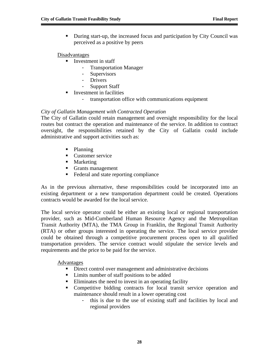During start-up, the increased focus and participation by City Council was perceived as a positive by peers

## Disadvantages

- Investment in staff
	- Transportation Manager
	- Supervisors
	- Drivers
	- Support Staff
- **Investment in facilities** 
	- transportation office with communications equipment

## *City of Gallatin Management with Contracted Operation*

The City of Gallatin could retain management and oversight responsibility for the local routes but contract the operation and maintenance of the service. In addition to contract oversight, the responsibilities retained by the City of Gallatin could include administrative and support activities such as:

- Planning
- Customer service
- **Marketing**
- Grants management
- Federal and state reporting compliance

As in the previous alternative, these responsibilities could be incorporated into an existing department or a new transportation department could be created. Operations contracts would be awarded for the local service.

The local service operator could be either an existing local or regional transportation provider, such as Mid-Cumberland Human Resource Agency and the Metropolitan Transit Authority (MTA), the TMA Group in Franklin, the Regional Transit Authority (RTA) or other groups interested in operating the service. The local service provider could be obtained through a competitive procurement process open to all qualified transportation providers. The service contract would stipulate the service levels and requirements and the price to be paid for the service.

## Advantages

- Direct control over management and administrative decisions
- Limits number of staff positions to be added
- Eliminates the need to invest in an operating facility
- Competitive bidding contracts for local transit service operation and maintenance should result in a lower operating cost
	- this is due to the use of existing staff and facilities by local and regional providers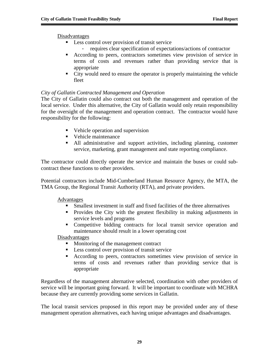Disadvantages

- Less control over provision of transit service
	- requires clear specification of expectations/actions of contractor
- According to peers, contractors sometimes view provision of service in terms of costs and revenues rather than providing service that is appropriate
- City would need to ensure the operator is properly maintaining the vehicle fleet

## *City of Gallatin Contracted Management and Operation*

The City of Gallatin could also contract out both the management and operation of the local service. Under this alternative, the City of Gallatin would only retain responsibility for the oversight of the management and operation contract. The contractor would have responsibility for the following:

- Vehicle operation and supervision
- Vehicle maintenance
- All administrative and support activities, including planning, customer service, marketing, grant management and state reporting compliance.

The contractor could directly operate the service and maintain the buses or could subcontract these functions to other providers.

Potential contractors include Mid-Cumberland Human Resource Agency, the MTA, the TMA Group, the Regional Transit Authority (RTA), and private providers.

Advantages

- Smallest investment in staff and fixed facilities of the three alternatives
- **Provides the City with the greatest flexibility in making adjustments in** service levels and programs
- Competitive bidding contracts for local transit service operation and maintenance should result in a lower operating cost

Disadvantages

- Monitoring of the management contract
- **Less control over provision of transit service**
- According to peers, contractors sometimes view provision of service in terms of costs and revenues rather than providing service that is appropriate

Regardless of the management alternative selected, coordination with other providers of service will be important going forward. It will be important to coordinate with MCHRA because they are currently providing some services in Gallatin.

The local transit services proposed in this report may be provided under any of these management operation alternatives, each having unique advantages and disadvantages.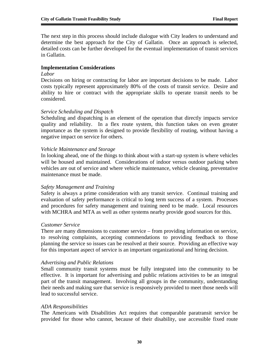The next step in this process should include dialogue with City leaders to understand and determine the best approach for the City of Gallatin. Once an approach is selected, detailed costs can be further developed for the eventual implementation of transit services in Gallatin.

#### **Implementation Considerations**

#### *Labor*

Decisions on hiring or contracting for labor are important decisions to be made. Labor costs typically represent approximately 80% of the costs of transit service. Desire and ability to hire or contract with the appropriate skills to operate transit needs to be considered.

#### *Service Scheduling and Dispatch*

Scheduling and dispatching is an element of the operation that directly impacts service quality and reliability. In a flex route system, this function takes on even greater importance as the system is designed to provide flexibility of routing, without having a negative impact on service for others.

#### *Vehicle Maintenance and Storage*

In looking ahead, one of the things to think about with a start-up system is where vehicles will be housed and maintained. Considerations of indoor versus outdoor parking when vehicles are out of service and where vehicle maintenance, vehicle cleaning, preventative maintenance must be made.

#### *Safety Management and Training*

Safety is always a prime consideration with any transit service. Continual training and evaluation of safety performance is critical to long term success of a system. Processes and procedures for safety management and training need to be made. Local resources with MCHRA and MTA as well as other systems nearby provide good sources for this.

#### *Customer Service*

There are many dimensions to customer service – from providing information on service, to resolving complaints, accepting commendations to providing feedback to those planning the service so issues can be resolved at their source. Providing an effective way for this important aspect of service is an important organizational and hiring decision.

#### *Advertising and Public Relations*

Small community transit systems must be fully integrated into the community to be effective. It is important for advertising and public relations activities to be an integral part of the transit management. Involving all groups in the community, understanding their needs and making sure that service is responsively provided to meet those needs will lead to successful service.

#### *ADA Responsibilities*

The Americans with Disabilities Act requires that comparable paratransit service be provided for those who cannot, because of their disability, use accessible fixed route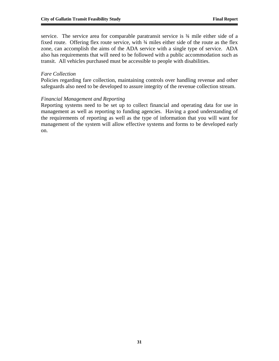service. The service area for comparable paratransit service is  $\frac{3}{4}$  mile either side of a fixed route. Offering flex route service, with  $\frac{3}{4}$  miles either side of the route as the flex zone, can accomplish the aims of the ADA service with a single type of service. ADA also has requirements that will need to be followed with a public accommodation such as transit. All vehicles purchased must be accessible to people with disabilities.

## *Fare Collection*

Policies regarding fare collection, maintaining controls over handling revenue and other safeguards also need to be developed to assure integrity of the revenue collection stream.

#### *Financial Management and Reporting*

Reporting systems need to be set up to collect financial and operating data for use in management as well as reporting to funding agencies. Having a good understanding of the requirements of reporting as well as the type of information that you will want for management of the system will allow effective systems and forms to be developed early on.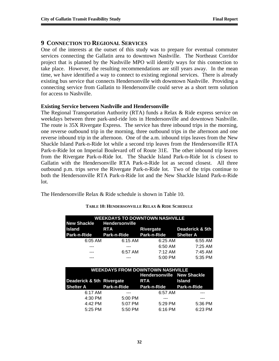## **9 CONNECTION TO REGIONAL SERVICES**

One of the interests at the outset of this study was to prepare for eventual commuter services connecting the Gallatin area to downtown Nashville. The Northeast Corridor project that is planned by the Nashville MPO will identify ways for this connection to take place. However, the resulting recommendations are still years away. In the mean time, we have identified a way to connect to existing regional services. There is already existing bus service that connects Hendersonville with downtown Nashville. Providing a connecting service from Gallatin to Hendersonville could serve as a short term solution for access to Nashville.

#### **Existing Service between Nashville and Hendersonville**

The Regional Transportation Authority (RTA) funds a Relax & Ride express service on weekdays between three park-and-ride lots in Hendersonville and downtown Nashville. The route is 35X Rivergate Express. The service has three inbound trips in the morning, one reverse outbound trip in the morning, three outbound trips in the afternoon and one reverse inbound trip in the afternoon. One of the a.m. inbound trips leaves from the New Shackle Island Park-n-Ride lot while a second trip leaves from the Hendersonville RTA Park-n-Ride lot on Imperial Boulevard off of Route 31E. The other inbound trip leaves from the Rivergate Park-n-Ride lot. The Shackle Island Park-n-Ride lot is closest to Gallatin with the Hendersonville RTA Park-n-Ride lot as second closest. All three outbound p.m. trips serve the Rivergate Park-n-Ride lot. Two of the trips continue to both the Hendersonville RTA Park-n-Ride lot and the New Shackle Island Park-n-Ride lot.

The Hendersonville Relax & Ride schedule is shown in Table 10.

| <b>WEEKDAYS TO DOWNTOWN NASHVILLE</b>         |            |                     |                 |  |  |
|-----------------------------------------------|------------|---------------------|-----------------|--|--|
| New Shackle Hendersonville                    |            |                     |                 |  |  |
| <b>Island</b>                                 | <b>RTA</b> | Rivergate           | Deaderick & 5th |  |  |
| Park-n-Ride Park-n-Ride Park-n-Ride Shelter A |            |                     |                 |  |  |
| $6:05$ AM                                     | 6:15 AM    | 6:25 AM             | 6:55 AM         |  |  |
|                                               |            | 6:50 AM             | 7:25 AM         |  |  |
| ---                                           | 6:57 AM    | $7:12 \, \text{AM}$ | 7:45 AM         |  |  |
|                                               |            | 5:00 PM             | 5:35 PM         |  |  |

#### **TABLE 10: HENDERSONVILLE RELAX & RIDE SCHEDULE**

| <b>WEEKDAYS FROM DOWNTOWN NASHVILLE</b> |         |                                   |               |  |  |
|-----------------------------------------|---------|-----------------------------------|---------------|--|--|
|                                         |         | <b>Hendersonville New Shackle</b> |               |  |  |
| Deaderick & 5th Rivergate               |         | <b>RTA</b>                        | <b>Island</b> |  |  |
| Shelter A Park-n-Ride                   |         | Park-n-Ride Park-n-Ride           |               |  |  |
| 6:17 AM                                 |         | 6:57 AM                           |               |  |  |
| 4:30 PM                                 | 5:00 PM |                                   |               |  |  |
| 4:42 PM                                 | 5:07 PM | 5:29 PM                           | 5:36 PM       |  |  |
| 5:25 PM                                 | 5:50 PM | 6:16 PM                           | 6:23 PM       |  |  |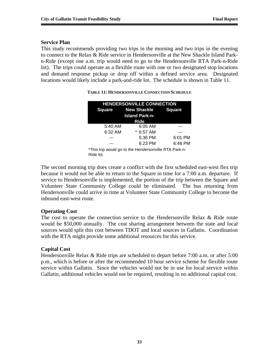## **Service Plan**

This study recommends providing two trips in the morning and two trips in the evening to connect to the Relax & Ride service in Hendersonville at the New Shackle Island Parkn-Ride (except one a.m. trip would need to go to the Hendersonville RTA Park-n-Ride lot). The trips could operate as a flexible route with one or two designated stop locations and demand response pickup or drop off within a defined service area. Designated locations would likely include a park-and-ride lot. The schedule is shown in Table 11.

| <b>HENDERSONVILLE CONNECTION</b> |                           |               |  |  |  |
|----------------------------------|---------------------------|---------------|--|--|--|
|                                  | <b>Square New Shackle</b> | <b>Square</b> |  |  |  |
| <b>Island Park-n-</b>            |                           |               |  |  |  |
|                                  | <b>Ride</b>               |               |  |  |  |
| 5:40 AM                          | 6:05 AM                   |               |  |  |  |
| 6:32 AM                          | * 6:57 AM                 |               |  |  |  |
|                                  | 5:36 PM                   | 6:01 PM       |  |  |  |
|                                  | 6:23 PM                   | 6:48 PM       |  |  |  |
|                                  |                           |               |  |  |  |

**TABLE 11: HENDERSONVILLE CONNECTION SCHEDULE**

\*This trip would go to the Hendersonville RTA Park-n-Ride lot.

The second morning trip does create a conflict with the first scheduled east-west flex trip because it would not be able to return to the Square in time for a 7:00 a.m. departure. If service to Hendersonville is implemented, the portion of the trip between the Square and Volunteer State Community College could be eliminated. The bus returning from Hendersonville could arrive in time at Volunteer State Community College to become the inbound east-west route.

## **Operating Cost**

The cost to operate the connection service to the Hendersonville Relax & Ride route would be \$50,000 annually. The cost sharing arrangement between the state and local sources would split this cost between TDOT and local sources in Gallatin. Coordination with the RTA might provide some additional resources for this service.

## **Capital Cost**

Hendersonville Relax & Ride trips are scheduled to depart before 7:00 a.m. or after 5:00 p.m., which is before or after the recommended 10 hour service scheme for flexible route service within Gallatin. Since the vehicles would not be in use for local service within Gallatin, additional vehicles would not be required, resulting in no additional capital cost.